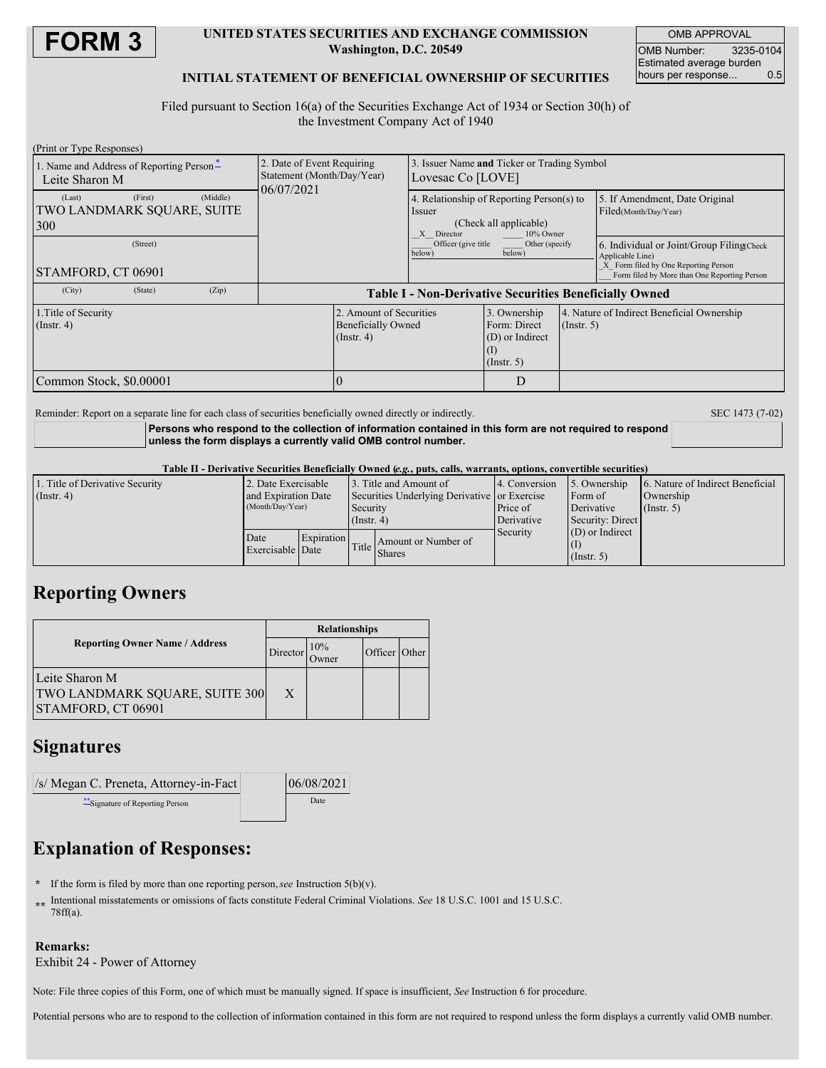

### **UNITED STATES SECURITIES AND EXCHANGE COMMISSION Washington, D.C. 20549**

OMB APPROVAL OMB Number: 3235-0104 Estimated average burden<br>hours per response... 0.5 hours per response...

### **INITIAL STATEMENT OF BENEFICIAL OWNERSHIP OF SECURITIES**

Filed pursuant to Section 16(a) of the Securities Exchange Act of 1934 or Section 30(h) of the Investment Company Act of 1940

| (Print or Type Responses)                                                                                            |                                                                        |                                                                                                              |                                                                     |                  |                                                                                                                                                       |  |
|----------------------------------------------------------------------------------------------------------------------|------------------------------------------------------------------------|--------------------------------------------------------------------------------------------------------------|---------------------------------------------------------------------|------------------|-------------------------------------------------------------------------------------------------------------------------------------------------------|--|
| 1. Name and Address of Reporting Person-<br>Leite Sharon M                                                           | 2. Date of Event Requiring<br>Statement (Month/Day/Year)<br>06/07/2021 | 3. Issuer Name and Ticker or Trading Symbol<br>Lovesac Co [LOVE]                                             |                                                                     |                  |                                                                                                                                                       |  |
| (First)<br>(Middle)<br>(Last)<br>TWO LANDMARK SOUARE, SUITE<br>300                                                   |                                                                        | 4. Relationship of Reporting Person(s) to<br>Issuer<br>(Check all applicable)<br>10% Owner<br>Director<br>X. |                                                                     |                  | 5. If Amendment, Date Original<br>Filed(Month/Day/Year)                                                                                               |  |
| (Street)<br>STAMFORD, CT 06901                                                                                       |                                                                        | Officer (give title<br>below)                                                                                | Other (specify<br>below)                                            |                  | 6. Individual or Joint/Group Filing Check<br>Applicable Line)<br>X Form filed by One Reporting Person<br>Form filed by More than One Reporting Person |  |
| (Zip)<br>(City)<br>(State)                                                                                           | <b>Table I - Non-Derivative Securities Beneficially Owned</b>          |                                                                                                              |                                                                     |                  |                                                                                                                                                       |  |
| 2. Amount of Securities<br>1. Title of Security<br><b>Beneficially Owned</b><br>$($ Instr. 4 $)$<br>$($ Instr. 4 $)$ |                                                                        |                                                                                                              | 3. Ownership<br>Form: Direct<br>(D) or Indirect<br>$($ Instr. 5 $)$ | $($ Instr. 5 $)$ | 4. Nature of Indirect Beneficial Ownership                                                                                                            |  |
| Common Stock, \$0.00001                                                                                              |                                                                        |                                                                                                              | D                                                                   |                  |                                                                                                                                                       |  |

Reminder: Report on a separate line for each class of securities beneficially owned directly or indirectly. SEC 1473 (7-02)

**Persons who respond to the collection of information contained in this form are not required to respond unless the form displays a currently valid OMB control number.**

#### Table II - Derivative Securities Beneficially Owned (e.g., puts, calls, warrants, options, convertible securities)

| 1. Title of Derivative Security | 2. Date Exercisable                           |  |                                                          | 13. Title and Amount of             | 4. Conversion | 5. Ownership      | 6. Nature of Indirect Beneficial |  |
|---------------------------------|-----------------------------------------------|--|----------------------------------------------------------|-------------------------------------|---------------|-------------------|----------------------------------|--|
| $($ Instr. 4 $)$                | and Expiration Date<br>(Month/Day/Year)       |  | Securities Underlying Derivative or Exercise<br>Security |                                     |               | Form of           | Ownership                        |  |
|                                 |                                               |  |                                                          |                                     | Price of      | Derivative        | $($ Instr. 5)                    |  |
|                                 | $($ Instr. 4 $)$                              |  |                                                          | Derivative<br>Security: Direct      |               |                   |                                  |  |
|                                 | <b>Expiration</b><br>Date<br>Exercisable Date |  |                                                          | Amount or Number of<br>Title Shares | Security      | $(D)$ or Indirect |                                  |  |
|                                 |                                               |  |                                                          |                                     |               |                   |                                  |  |
|                                 |                                               |  |                                                          |                                     |               | $($ Instr. 5 $)$  |                                  |  |

# **Reporting Owners**

|                                                                        | <b>Relationships</b> |                           |               |  |  |  |
|------------------------------------------------------------------------|----------------------|---------------------------|---------------|--|--|--|
| <b>Reporting Owner Name / Address</b>                                  |                      | 10%<br>Director<br>.)wner | Officer Other |  |  |  |
| Leite Sharon M<br>TWO LANDMARK SQUARE, SUITE 300<br>STAMFORD, CT 06901 | X                    |                           |               |  |  |  |

# **Signatures**

| /s/ Megan C. Preneta, Attorney-in-Fact | 06/08/2021 |
|----------------------------------------|------------|
| **Signature of Reporting Person        | Date       |

# **Explanation of Responses:**

- **\*** If the form is filed by more than one reporting person,*see* Instruction 5(b)(v).
- **\*\*** Intentional misstatements or omissions of facts constitute Federal Criminal Violations. *See* 18 U.S.C. 1001 and 15 U.S.C. 78ff(a).

### **Remarks:**

Exhibit 24 - Power of Attorney

Note: File three copies of this Form, one of which must be manually signed. If space is insufficient, *See* Instruction 6 for procedure.

Potential persons who are to respond to the collection of information contained in this form are not required to respond unless the form displays a currently valid OMB number.